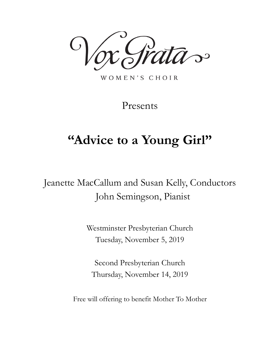ata~

WOMEN'S CHOIR

Presents

# **"Advice to a Young Girl"**

Jeanette MacCallum and Susan Kelly, Conductors John Semingson, Pianist

> Westminster Presbyterian Church Tuesday, November 5, 2019

Second Presbyterian Church Thursday, November 14, 2019

Free will offering to benefit Mother To Mother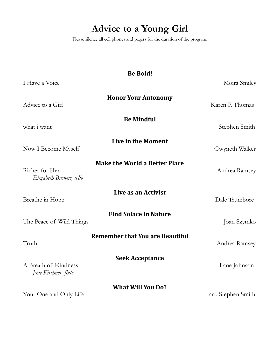# **Advice to a Young Girl**

Please silence all cell phones and pagers for the duration of the program.

|                                              | <b>Be Bold!</b>                        |                    |
|----------------------------------------------|----------------------------------------|--------------------|
| I Have a Voice                               |                                        | Moira Smiley       |
| Advice to a Girl                             | <b>Honor Your Autonomy</b>             | Karen P. Thomas    |
| what i want                                  | <b>Be Mindful</b>                      | Stephen Smith      |
| Now I Become Myself                          | Live in the Moment                     | Gwyneth Walker     |
| Richer for Her<br>Elizabeth Browne, cello    | <b>Make the World a Better Place</b>   | Andrea Ramsey      |
| Breathe in Hope                              | Live as an Activist                    | Dale Trumbore      |
| The Peace of Wild Things                     | <b>Find Solace in Nature</b>           | Joan Szymko        |
| Truth                                        | <b>Remember that You are Beautiful</b> | Andrea Ramsey      |
| A Breath of Kindness<br>Jane Kirchner, flute | <b>Seek Acceptance</b>                 | Lane Johnson       |
| Your One and Only Life                       | <b>What Will You Do?</b>               | arr. Stephen Smith |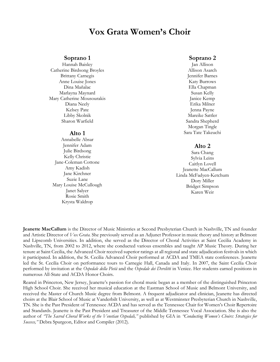## **Vox Grata Women's Choir**

#### **Soprano 1**

Hannah Baisley Catherine Birdsong Broyles Brittany Carnegis Anne Louise Jones Dina Mañalac Marlayna Maynard Mary Catherine Mousourakis Diana Neely Kelsey Pate Libby Skolnik Sharon Warfield

#### **Alto 1**

Annabelle Absar Jennifer Adam Julie Birdsong Kelly Christie Jane-Coleman Cottone Amy Kadish Jane Kirchner Suzie Lane Mary Louise McCullough Janet Salyer Rosie Smith Krysta Waldrop

### **Soprano 2**

Jan Allison Allison Asarch Jennifer Barnes Katy Burrows Ella Chapman Susan Kelly Janice Kemp Erika Milner Jenna Payne Mareike Sattler Sandra Shepherd Morgan Tingle Sara Tate Takeuchi

### **Alto 2**

Sara Chang Sylvia Leins Caitlyn Lovell Jeanette MacCallum Linda McFadyen-Ketchum Dory Miller Bridget Simpson Karen Weir

**Jeanette MacCallum** is the Director of Music Ministries at Second Presbyterian Church in Nashville, TN and founder and Artistic Director of *Vox Grata.* She previously served as an Adjunct Professor in music theory and history at Belmont and Lipscomb Universities. In addition, she served as the Director of Choral Activities at Saint Cecilia Academy in Nashville, TN, from 2002 to 2012, where she conducted various ensembles and taught AP Music Theory. During her tenure at Saint Cecilia, the Advanced Choir received superior ratings at all regional and state adjudication festivals in which it participated. In addition, the St. Cecilia Advanced Choir performed at ACDA and TMEA state conferences. Jeanette led the St. Cecilia Choir on performance tours to Carnegie Hall, Canada and Italy. In 2007, the Saint Cecilia Choir performed by invitation at the *Ospedale della Pietà* and the *Ospedale dei Derelitti* in Venice. Her students earned positions in numerous All-State and ACDA Honor Choirs.

Reared in Princeton, New Jersey, Jeanette's passion for choral music began as a member of the distinguished Princeton High School Choir. She received her musical education at the Eastman School of Music and Belmont University, and received the Master of Church Music degree from Belmont. A frequent adjudicator and clinician, Jeanette has directed choirs at the Blair School of Music at Vanderbilt University, as well as at Westminster Presbyterian Church in Nashville, TN. She is the Past President of Tennessee ACDA and has served as the Tennessee Chair for Women's Choir Repertoire and Standards. Jeanette is the Past President and Treasurer of the Middle Tennessee Vocal Association. She is also the author of *"The Sacred Choral Works of the Venetian Ospedali,"* published by GIA in *"Conducting Women's Choirs: Strategies for Success,"* Debra Spurgeon, Editor and Compiler (2012).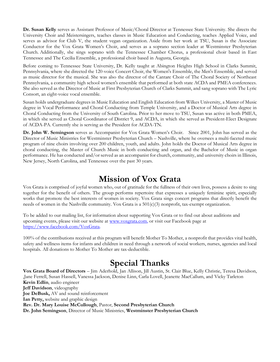**Dr. Susan Kelly** serves as Assistant Professor of Music/Choral Director at Tennessee State University. She directs the University Choir and Meistersingers, teaches classes in Music Education and Conducting, teaches Applied Voice, and serves as advisor for Club V, the student vegan organization. Aside from her work at TSU, Susan is the Associate Conductor for the Vox Grata Women's Choir, and serves as a soprano section leader at Westminster Presbyterian Church. Additionally, she sings soprano with the Tennessee Chamber Chorus, a professional choir based in East Tennessee and The Cecilia Ensemble, a professional choir based in Augusta, Georgia.

Before coming to Tennessee State University, Dr. Kelly taught at Abington Heights High School in Clarks Summit, Pennsylvania, where she directed the 120-voice Concert Choir, the Women's Ensemble, the Men's Ensemble, and served as music director for the musical. She was also the director of the Cantare Choir of The Choral Society of Northeast Pennsylvania, a community high school women's ensemble that performed at both state ACDA and PMEA conferences. She also served as the Director of Music at First Presbyterian Church of Clarks Summit, and sang soprano with The Lyric Consort, an eight-voice vocal ensemble.

Susan holds undergraduate degrees in Music Education and English Education from Wilkes University, a Master of Music degree in Vocal Performance and Choral Conducting from Temple University, and a Doctor of Musical Arts degree in Choral Conducting from the University of South Carolina. Prior to her move to TSU, Susan was active in both PMEA, in which she served as Choral Coordinator of District 9, and ACDA, in which she served as President-Elect Designate of ACDA-PA. Currently she is serving as the President for ACDA-TN.

**Dr. John W. Semingson** serves as Accompanist for Vox Grata Women's Choir. Since 2001, John has served as the Director of Music Ministries for Westminster Presbyterian Church – Nashville, where he oversees a multi-faceted music program of nine choirs involving over 200 children, youth, and adults. John holds the Doctor of Musical Arts degree in choral conducting, the Master of Church Music in both conducting and organ, and the Bachelor of Music in organ performance. He has conducted and/or served as an accompanist for church, community, and university choirs in Illinois, New Jersey, North Carolina, and Tennessee over the past 30 years.

## **Mission of Vox Grata**

Vox Grata is comprised of joyful women who, out of gratitude for the fullness of their own lives, possess a desire to sing together for the benefit of others. The group performs repertoire that expresses a uniquely feminine spirit, especially works that promote the best interests of women in society. Vox Grata sings concert programs that directly benefit the needs of women in the Nashville community. Vox Grata is a 501(c)(3) nonprofit, tax-exempt organization.

To be added to our mailing list, for information about supporting Vox Grata or to find out about auditions and upcoming events, please visit our website at [www.voxgrata.com,](http://www.voxgrata.com/) or visit our Facebook page at [https://www.facebook.com/VoxGrata.](https://www.facebook.com/VoxGrata)

100% of the contributions received at this program will benefit Mother To Mother, a nonprofit that provides vital health, safety and wellness items for infants and children in need through a network of social workers, nurses, agencies and local hospitals. All donations to Mother To Mother are tax-deductible.

# **Special Thanks**

**Vox Grata Board of Directors** – Jim Aderhold, Jan Allison, Jill Austin, St. Clair Blue, Kelly Christie, Teresa Davidson, ,Jane Ferrell, Susan Hassell, Vanessa Jackson, Denise Linn, Carla Lovell, Jeanette MacCallum, and Vicky Tarleton **Kevin Edlin**, audio engineer **Jeff Davidson**, videography **Joe DeBusk,** AV and sound reinforcement **Ian Petty,** website and graphic design **Rev. Dr. Mary Louise McCullough**, Pastor, **Second Presbyterian Church Dr. John Semingson**, Director of Music Ministries, **Westminster Presbyterian Church**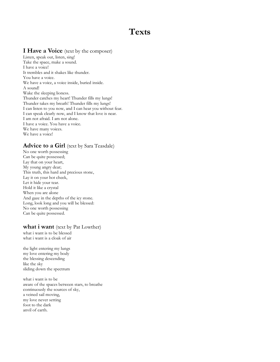# **Texts**

### **I Have a Voice** (text by the composer)

Listen, speak out, listen, sing! Take the space, make a sound. I have a voice! It trembles and it shakes like thunder. You have a voice. We have a voice, a voice inside, buried inside. A sound! Wake the sleeping lioness. Thunder catches my heart! Thunder fills my lungs! Thunder takes my breath! Thunder fills my lungs! I can listen to you now, and I can hear you without fear. I can speak clearly now, and I know that love is near. I am not afraid. I am not alone. I have a voice. You have a voice. We have many voices. We have a voice!

### Advice to a Girl (text by Sara Teasdale)

No one worth possessing Can be quite possessed; Lay that on your heart, My young angry dear; This truth, this hard and precious stone, Lay it on your hot cheek, Let it hide your tear. Hold it like a crystal When you are alone And gaze in the depths of the icy stone. Long, look long and you will be blessed: No one worth possessing Can be quite possessed.

### **what i want** (text by Pat Lowther)

what i want is to be blessed what i want is a cloak of air

the light entering my lungs my love entering my body the blessing descending like the sky sliding down the spectrum

what i want is to be aware of the spaces between stars, to breathe continuously the sources of sky, a veined sail moving, my love never setting foot to the dark anvil of earth.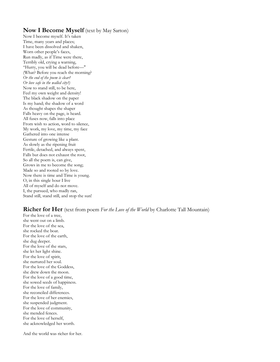#### **Now I Become Myself** (text by May Sarton)

Now I become myself. It's taken Time, many years and places; I have been dissolved and shaken, Worn other people's faces, Run madly, as if Time were there, Terribly old, crying a warning, "Hurry, you will be dead before—" (What? Before you reach the morning? *Or the end of the poem is clear? Or love safe in the walled city?)* Now to stand still, to be here, Feel my own weight and density! The black shadow on the paper Is my hand; the shadow of a word As thought shapes the shaper Falls heavy on the page, is heard. All fuses now, falls into place From wish to action, word to silence, My work, my love, my time, my face Gathered into one intense Gesture of growing like a plant. As slowly as the ripening fruit Fertile, detached, and always spent, Falls but does not exhaust the root, So all the poem is, can give, Grows in me to become the song; Made so and rooted so by love. Now there is time and Time is young. O, in this single hour I live All of myself and do not move. I, the pursued, who madly ran, Stand still, stand still, and stop the sun!

#### **Richer for Her** (text from poem *For the Love of the World* by Charlotte Tall Mountain)

For the love of a tree, she went out on a limb. For the love of the sea, she rocked the boat. For the love of the earth, she dug deeper. For the love of the stars, she let her light shine. For the love of spirit, she nurtured her soul. For the love of the Goddess, she drew down the moon. For the love of a good time, she sowed seeds of happiness. For the love of family, she reconciled differences. For the love of her enemies, she suspended judgment. For the love of community, she mended fences. For the love of herself, she acknowledged her worth.

And the world was richer for her.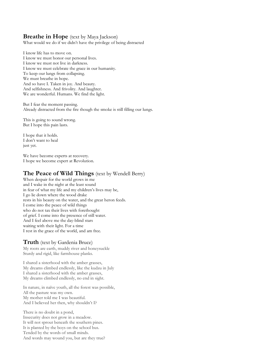#### **Breathe in Hope** (text by Maya Jackson)

What would we do if we didn't have the privilege of being distracted

I know life has to move on.

I know we must honor our personal lives. I know we must not live in darkness. I know we must celebrate the grace in our humanity. To keep our lungs from collapsing. We must breathe in hope. And so have I. Taken in joy. And beauty. And selfishness. And frivolity. And laughter. We are wonderful. Humans. We find the light.

But I fear the moment passing. Already distracted from the fire though the smoke is still filling our lungs.

This is going to sound wrong. But I hope this pain lasts.

I hope that it holds. I don't want to heal just yet.

We have become experts at recovery. I hope we become expert at Revolution.

#### **The Peace of Wild Things** (text by Wendell Berry)

When despair for the world grows in me and I wake in the night at the least sound in fear of what my life and my children's lives may be, I go lie down where the wood drake rests in his beauty on the water, and the great heron feeds. I come into the peace of wild things who do not tax their lives with forethought of grief. I come into the presence of still water. And I feel above me the day-blind stars waiting with their light. For a time I rest in the grace of the world, and am free.

#### **Truth** (text by Gardenia Bruce)

My roots are earth, muddy river and honeysuckle Sturdy and rigid, like farmhouse planks.

I shared a sisterhood with the amber grasses, My dreams climbed endlessly, like the kudzu in July I shared a sisterhood with the amber grasses, My dreams climbed endlessly, no end in sight.

In nature, in naïve youth, all the forest was possible, All the pasture was my own. My mother told me I was beautiful. And I believed her then, why shouldn't I?

There is no doubt in a pond, Insecurity does not grow in a meadow. It will not sprout beneath the southern pines. It is planted by the boys on the school bus. Tended by the words of small minds. And words may wound you, but are they true?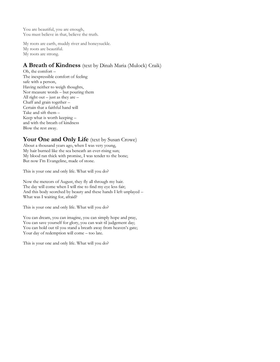You are beautiful, you are enough, You must believe in that, believe the truth.

My roots are earth, muddy river and honeysuckle. My roots are beautiful. My roots are strong.

### **A Breath of Kindness** (text by Dinah Maria (Mulock) Craik)

Oh, the comfort – The inexpressible comfort of feeling safe with a person, Having neither to weigh thoughts, Nor measure words – but pouring them All right out  $-$  just as they are  $-$ Chaff and grain together – Certain that a faithful hand will Take and sift them – Keep what is worth keeping – and with the breath of kindness Blow the rest away.

### Your One and Only Life (text by Susan Crowe)

About a thousand years ago, when I was very young, My hair burned like the sea beneath an ever-rising sun; My blood ran thick with promise, I was tender to the bone; But now I'm Evangeline, made of stone.

This is your one and only life. What will you do?

Now the meteors of August, they fly all through my hair. The day will come when I will rise to find my eye less fair; And this body scorched by beauty and these hands I left unplayed – What was I waiting for, afraid?

This is your one and only life. What will you do?

You can dream, you can imagine, you can simply hope and pray, You can save yourself for glory, you can wait til judgement day; You can hold out til you stand a breath away from heaven's gate; Your day of redemption will come – too late.

This is your one and only life. What will you do?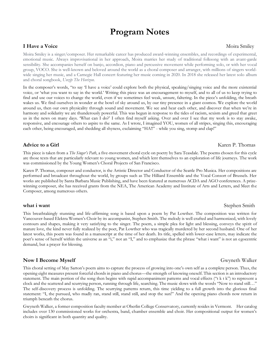# **Program Notes**

#### **I Have a Voice** Moira Smiley

Moira Smiley is a singer/composer. Her remarkable career has produced award-winning ensembles, and recordings of experimental, emotional music. Always improvisational in her approach, Moira marries her study of traditional folksong with an avant-garde sensibility. She accompanies herself on banjo, accordion, piano and percussive movement while performing solo, or with her vocal group, VOCO. She is well-known and beloved around the world as a choral composer and arranger, with millions of singers worldwide singing her music, and a Carnegie Hall concert featuring her music coming in 2020. In 2018 she released her latest solo album and choral songbook, *Unzip The Horizon*.

In the composer's words, "to say 'I have a voice' could explore both the physical, speaking/singing voice and the more existential voice, or 'what you want to say in the world.' Writing this piece was an encouragement to myself, and to all of us to keep trying to find and use our voices to change the world, even if we sometimes feel weak, unsure, faltering. In the piece's unfolding, the breath wakes us. We find ourselves in wonder at the bowl of sky around us, by our tiny presence in a giant cosmos. We explore the world around us, then our own physicality through sound and movement. We see and hear each other, and discover that when we're in harmony and solidarity we are thunderously powerful. This was begun in response to the tides of racism, sexism and greed that greet us in the news on many days. 'What can I do?' I often find myself asking. Over and over I see that my work is to stay awake, responsive, and encourage others to aspire to the same. As I wrote, I imagined YOU, women of all stripes, singing this, encouraging each other, being encouraged, and shedding all shyness, exclaiming "HA!!" - while you sing, stomp and clap!"

This piece is taken from a *The Singer's Path*, a five-movement choral cycle on poetry by Sara Teasdale. The poems chosen for this cycle are those texts that are particularly relevant to young women, and which lent themselves to an exploration of life journeys. The work was commissioned by the Young Women's Choral Projects of San Francisco.

Karen P. Thomas, composer and conductor, is the Artistic Director and Conductor of the Seattle Pro Musica. Her compositions are performed and broadcast throughout the world, by groups such as The Hilliard Ensemble and the Vocal Consort of Brussels. Her works are published by Santa Barbara Music Publishing, and have been featured at numerous ACDA and AGO conferences. A prizewinning composer, she has received grants from the NEA, The American Academy and Institute of Arts and Letters, and Meet the Composer, among numerous others.

This breathtakingly stunning and life-affirming song is based upon a poem by Pat Lowther. The composition was written for Vancouver-based Elektra Women's Choir by its accompanist, Stephen Smith. The melody is well crafted and harmonized, with lovely contours and shapes, making it very satisfying to the singer. The poem, a simple plea for light and blessing, conveys the spirit of mature love, the kind never fully realized by the poet, Pat Lowther who was tragically murdered by her second husband. One of her latest works, this poem was found in a manuscript at the time of her death. Its title, spelled with lower-case letters, may indicate the poet's sense of herself within the universe as an "i," not an "I," and to emphasize that the phrase "what i want" is not an egocentric demand, but a prayer for blessing.

#### **Now I Become Myself**Gwyneth Walker

This choral setting of May Sarton's poem aims to capture the process of growing into one's own self as a complete person. Thus, the opening eight measures present forceful chords in piano and chorus—the strength of knowing oneself. This section is an introductory statement. The main portion of the song then begins with rapid accompaniment patterns and vocal effects ("t k t k") to represent a clock and the scattered and scurrying person, running through life, searching. The music slows with the words "Now to stand still…" The self-discovery process is unfolding. The scurrying patterns return, this time yielding to a full growth into the glorious final statement: "I, the pursued, who madly ran, stand still, stand still, and stop the sun!" And the opening piano chords now return in triumph beneath the chorus.

Gwyneth Walker, a former composition faculty member at Oberlin College Conservatory, currently resides in Vermont. Her catalog includes over 130 commissioned works for orchestra, band, chamber ensemble and choir. Her compositional output for women's choirs is significant in both quantity and quality.

#### **what i want Stephen Smith** Stephen Smith

**Advice to a Girl Advice to a Girl Advice to a Girl Advice to a Girl Karen P. Thomas**